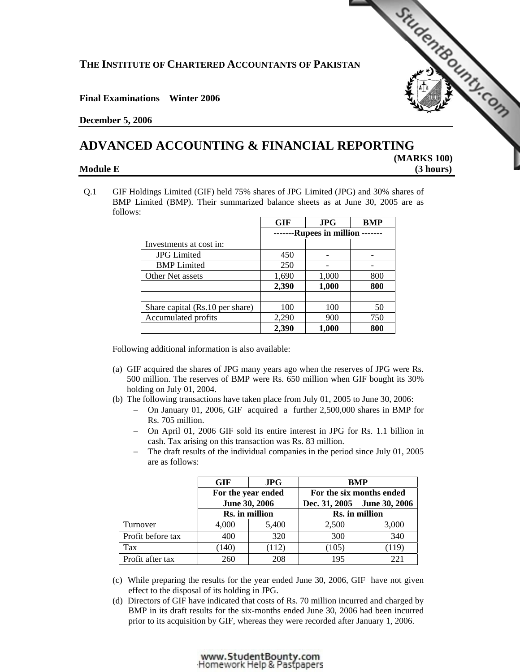# **THE INSTITUTE OF CHARTERED ACCOUNTANTS OF PAKISTAN**

## **Final Examinations Winter 2006**

### **December 5, 2006**

# **ADVANCED ACCOUNTING & FINANCIAL REPORTING**

 **[\(MARKS 100\)](http://www.studentbounty.com)  Module E** (3 hours)

StudentBounty.com

Q.1 GIF Holdings Limited (GIF) held 75% shares of JPG Limited (JPG) and 30% shares of BMP Limited (BMP). Their summarized balance sheets as at June 30, 2005 are as follows:

|                                 | <b>GIF</b>        | <b>JPG</b> | <b>BMP</b> |
|---------------------------------|-------------------|------------|------------|
|                                 | Rupees in million |            |            |
| Investments at cost in:         |                   |            |            |
| <b>JPG</b> Limited              | 450               |            |            |
| <b>BMP</b> Limited              | 250               |            |            |
| Other Net assets                | 1,690             | 1,000      | 800        |
|                                 | 2,390             | 1,000      | 800        |
| Share capital (Rs.10 per share) | 100               | 100        | 50         |
| Accumulated profits             | 2,290             | 900        | 750        |
|                                 | 2,390             | 1,000      | 800        |

Following additional information is also available:

- (a) GIF acquired the shares of JPG many years ago when the reserves of JPG were Rs. 500 million. The reserves of BMP were Rs. 650 million when GIF bought its 30% holding on July 01, 2004.
- (b) The following transactions have taken place from July 01, 2005 to June 30, 2006:
	- − On January 01, 2006, GIF acquired a further 2,500,000 shares in BMP for Rs. 705 million.
	- − On April 01, 2006 GIF sold its entire interest in JPG for Rs. 1.1 billion in cash. Tax arising on this transaction was Rs. 83 million.
	- − The draft results of the individual companies in the period since July 01, 2005 are as follows:

|                   | <b>GIF</b>                                            | JPG   | <b>BMP</b>               |               |
|-------------------|-------------------------------------------------------|-------|--------------------------|---------------|
|                   | For the year ended<br>June 30, 2006<br>Rs. in million |       | For the six months ended |               |
|                   |                                                       |       | Dec. 31, 2005            | June 30, 2006 |
|                   |                                                       |       | Rs. in million           |               |
| Turnover          | 4,000                                                 | 5,400 | 2,500                    | 3,000         |
| Profit before tax | 400                                                   | 320   | 300                      | 340           |
| Tax               | (140)                                                 | (112) | (105)                    | (119)         |
| Profit after tax  | 260                                                   | 208   | 195                      | 22.1          |

- (c) While preparing the results for the year ended June 30, 2006, GIF have not given effect to the disposal of its holding in JPG.
- (d) Directors of GIF have indicated that costs of Rs. 70 million incurred and charged by BMP in its draft results for the six-months ended June 30, 2006 had been incurred prior to its acquisition by GIF, whereas they were recorded after January 1, 2006.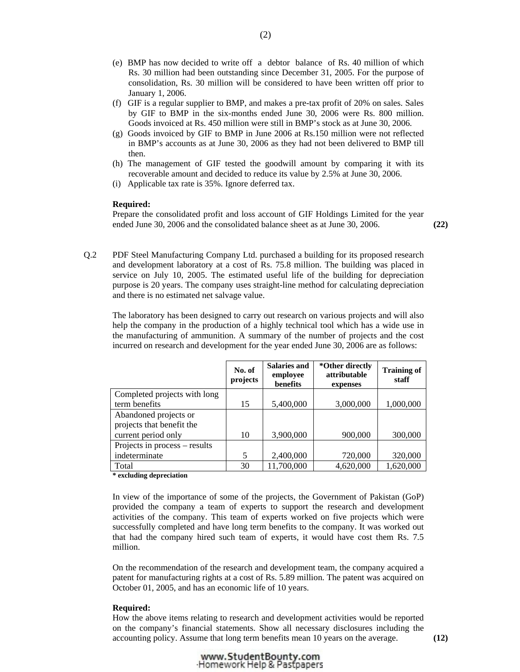- (e) BMP has now decided to write off a debtor balance of Rs. 40 million of which Rs. 30 million had been outstanding since December 31, 2005. For the purpose of consolidation, Rs. 30 million will be considered to have been written off prior to January 1, 2006.
- (f) GIF is a regular supplier to BMP, and makes a pre-tax profit of 20% on sales. Sales by GIF to BMP in the six-months ended June 30, 2006 were Rs. 800 million. Goods invoiced at Rs. 450 million were still in BMP's stock as at June 30, 2006.
- (g) Goods invoiced by GIF to BMP in June 2006 at Rs.150 million were not reflected in BMP's accounts as at June 30, 2006 as they had not been delivered to BMP till then.
- (h) The management of GIF tested the goodwill amount by comparing it with its recoverable amount and decided to reduce its value by 2.5% at June 30, 2006.
- (i) Applicable tax rate is 35%. Ignore deferred tax.

#### **Required:**

Prepare the consolidated profit and loss account of GIF Holdings Limited for the year ended June 30, 2006 and the consolidated balance sheet as at June 30, 2006. **(22)** 

Q.2 PDF Steel Manufacturing Company Ltd. purchased a building for its proposed research and development laboratory at a cost of Rs. 75.8 million. The building was placed in service on July 10, 2005. The estimated useful life of the building for depreciation purpose is 20 years. The company uses straight-line method for calculating depreciation and there is no estimated net salvage value.

The laboratory has been designed to carry out research on various projects and will also help the company in the production of a highly technical tool which has a wide use in the manufacturing of ammunition. A summary of the number of projects and the cost incurred on research and development for the year ended June 30, 2006 are as follows:

|                               | No. of<br>projects | <b>Salaries and</b><br>employee<br>benefits | *Other directly<br>attributable<br>expenses | <b>Training of</b><br>staff |
|-------------------------------|--------------------|---------------------------------------------|---------------------------------------------|-----------------------------|
| Completed projects with long  |                    |                                             |                                             |                             |
| term benefits                 | 15                 | 5,400,000                                   | 3,000,000                                   | 1,000,000                   |
| Abandoned projects or         |                    |                                             |                                             |                             |
| projects that benefit the     |                    |                                             |                                             |                             |
| current period only           | 10                 | 3,900,000                                   | 900,000                                     | 300,000                     |
| Projects in process – results |                    |                                             |                                             |                             |
| indeterminate                 | 5                  | 2,400,000                                   | 720,000                                     | 320,000                     |
| Total                         | 30                 | 11,700,000                                  | 4,620,000                                   | 1,620,000                   |
| .                             |                    |                                             |                                             |                             |

**\* excluding depreciation** 

 In view of the importance of some of the projects, the Government of Pakistan (GoP) provided the company a team of experts to support the research and development activities of the company. This team of experts worked on five projects which were successfully completed and have long term benefits to the company. It was worked out that had the company hired such team of experts, it would have cost them Rs. 7.5 million.

On the recommendation of the research and development team, the company acquired a patent for manufacturing rights at a cost of Rs. 5.89 million. The patent was acquired on October 01, 2005, and has an economic life of 10 years.

#### **Required:**

How the above items relating to research and development activities would be reported on the company's financial statements. Show all necessary disclosures including the accounting policy. Assume that long term benefits mean 10 years on the average. **(12)**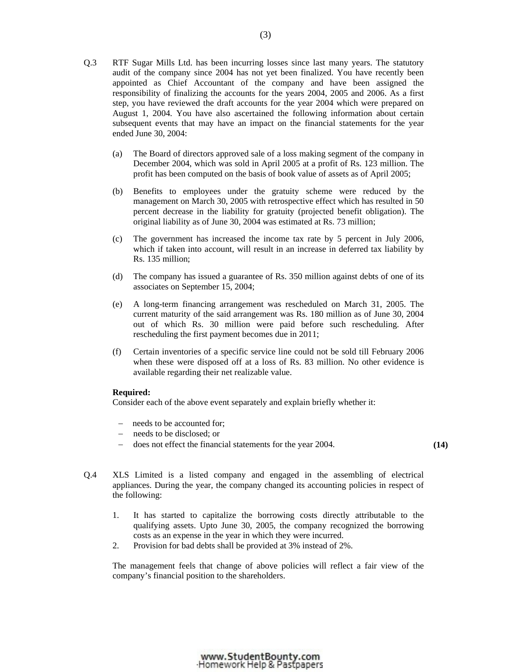- Q.3 RTF Sugar Mills Ltd. has been incurring losses since last many years. The statutory audit of the company since 2004 has not yet been finalized. You have recently been appointed as Chief Accountant of the company and have been assigned the responsibility of finalizing the accounts for the years 2004, 2005 and 2006. As a first step, you have reviewed the draft accounts for the year 2004 which were prepared on August 1, 2004. You have also ascertained the following information about certain subsequent events that may have an impact on the financial statements for the year ended June 30, 2004:
	- (a) The Board of directors approved sale of a loss making segment of the company in December 2004, which was sold in April 2005 at a profit of Rs. 123 million. The profit has been computed on the basis of book value of assets as of April 2005;
	- (b) Benefits to employees under the gratuity scheme were reduced by the management on March 30, 2005 with retrospective effect which has resulted in 50 percent decrease in the liability for gratuity (projected benefit obligation). The original liability as of June 30, 2004 was estimated at Rs. 73 million;
	- (c) The government has increased the income tax rate by 5 percent in July 2006, which if taken into account, will result in an increase in deferred tax liability by Rs. 135 million;
	- (d) The company has issued a guarantee of Rs. 350 million against debts of one of its associates on September 15, 2004;
	- (e) A long-term financing arrangement was rescheduled on March 31, 2005. The current maturity of the said arrangement was Rs. 180 million as of June 30, 2004 out of which Rs. 30 million were paid before such rescheduling. After rescheduling the first payment becomes due in 2011;
	- (f) Certain inventories of a specific service line could not be sold till February 2006 when these were disposed off at a loss of Rs. 83 million. No other evidence is available regarding their net realizable value.

#### **Required:**

Consider each of the above event separately and explain briefly whether it:

- − needs to be accounted for;
- − needs to be disclosed; or
- − does not effect the financial statements for the year 2004. **(14)**

- Q.4 XLS Limited is a listed company and engaged in the assembling of electrical appliances. During the year, the company changed its accounting policies in respect of the following:
	- 1. It has started to capitalize the borrowing costs directly attributable to the qualifying assets. Upto June 30, 2005, the company recognized the borrowing costs as an expense in the year in which they were incurred.
	- 2. Provision for bad debts shall be provided at 3% instead of 2%.

The management feels that change of above policies will reflect a fair view of the company's financial position to the shareholders.

#### www.StudentBounty.com Homework Help & Pastpapers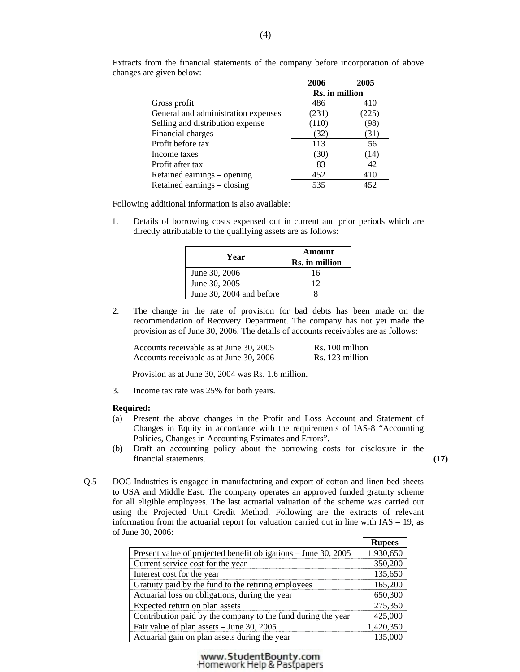|                                     | 2006           | 2005  |
|-------------------------------------|----------------|-------|
|                                     | Rs. in million |       |
| Gross profit                        | 486            | 410   |
| General and administration expenses | (231)          | (225) |
| Selling and distribution expense    | (110)          | (98)  |
| Financial charges                   | (32)           | (31)  |
| Profit before tax                   | 113            | 56    |
| Income taxes                        | (30)           | (14)  |
| Profit after tax                    | 83             | 42    |
| Retained earnings – opening         | 452            | 410   |
| Retained earnings – closing         | 535            | 452   |

 Extracts from the financial statements of the company before incorporation of above changes are given below:

Following additional information is also available:

1. Details of borrowing costs expensed out in current and prior periods which are directly attributable to the qualifying assets are as follows:

| Year                     | Amount<br>Rs. in million |
|--------------------------|--------------------------|
| June 30, 2006            | 16                       |
| June 30, 2005            | 12                       |
| June 30, 2004 and before |                          |

 2. The change in the rate of provision for bad debts has been made on the recommendation of Recovery Department. The company has not yet made the provision as of June 30, 2006. The details of accounts receivables are as follows:

| Accounts receivable as at June 30, 2005 | Rs. 100 million |
|-----------------------------------------|-----------------|
| Accounts receivable as at June 30, 2006 | Rs. 123 million |

Provision as at June 30, 2004 was Rs. 1.6 million.

3. Income tax rate was 25% for both years.

#### **Required:**

- (a) Present the above changes in the Profit and Loss Account and Statement of Changes in Equity in accordance with the requirements of IAS-8 "Accounting Policies, Changes in Accounting Estimates and Errors".
- (b) Draft an accounting policy about the borrowing costs for disclosure in the financial statements. **(17)**

Q.5 DOC Industries is engaged in manufacturing and export of cotton and linen bed sheets to USA and Middle East. The company operates an approved funded gratuity scheme for all eligible employees. The last actuarial valuation of the scheme was carried out using the Projected Unit Credit Method. Following are the extracts of relevant information from the actuarial report for valuation carried out in line with IAS – 19, as of June 30, 2006: ┑

|                                                                | <b>Rupees</b> |
|----------------------------------------------------------------|---------------|
| Present value of projected benefit obligations – June 30, 2005 | 1,930,650     |
| Current service cost for the year                              | 350,200       |
| Interest cost for the year                                     | 135,650       |
| Gratuity paid by the fund to the retiring employees            | 165,200       |
| Actuarial loss on obligations, during the year                 | 650,300       |
| Expected return on plan assets                                 | 275,350       |
| Contribution paid by the company to the fund during the year   | 425,000       |
| Fair value of plan assets - June 30, 2005                      | 1,420,350     |
| Actuarial gain on plan assets during the year                  | 135,000       |